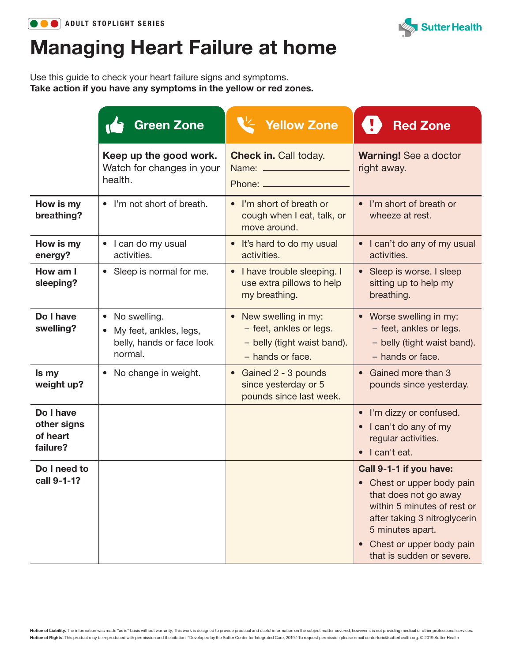



## Managing Heart Failure at home

Use this guide to check your heart failure signs and symptoms. Take action if you have any symptoms in the yellow or red zones.

|                                                  | <b>Green Zone</b>                                                                                        | <b>Yellow Zone</b>                                                                                  | <b>Red Zone</b>                                                                                                                                                                                                          |
|--------------------------------------------------|----------------------------------------------------------------------------------------------------------|-----------------------------------------------------------------------------------------------------|--------------------------------------------------------------------------------------------------------------------------------------------------------------------------------------------------------------------------|
|                                                  | Keep up the good work.<br>Watch for changes in your<br>health.                                           | <b>Check in. Call today.</b><br>Phone: _________                                                    | <b>Warning! See a doctor</b><br>right away.                                                                                                                                                                              |
| How is my<br>breathing?                          | • I'm not short of breath.                                                                               | • I'm short of breath or<br>cough when I eat, talk, or<br>move around.                              | • I'm short of breath or<br>wheeze at rest.                                                                                                                                                                              |
| How is my<br>energy?                             | I can do my usual<br>$\bullet$<br>activities.                                                            | It's hard to do my usual<br>activities.                                                             | • I can't do any of my usual<br>activities.                                                                                                                                                                              |
| How am I<br>sleeping?                            | • Sleep is normal for me.                                                                                | • I have trouble sleeping. I<br>use extra pillows to help<br>my breathing.                          | • Sleep is worse. I sleep<br>sitting up to help my<br>breathing.                                                                                                                                                         |
| Do I have<br>swelling?                           | No swelling.<br>$\bullet$<br>My feet, ankles, legs,<br>$\bullet$<br>belly, hands or face look<br>normal. | • New swelling in my:<br>- feet, ankles or legs.<br>- belly (tight waist band).<br>- hands or face. | • Worse swelling in my:<br>- feet, ankles or legs.<br>- belly (tight waist band).<br>- hands or face.                                                                                                                    |
| Is my<br>weight up?                              | No change in weight.<br>$\bullet$                                                                        | Gained 2 - 3 pounds<br>since yesterday or 5<br>pounds since last week.                              | • Gained more than 3<br>pounds since yesterday.                                                                                                                                                                          |
| Do I have<br>other signs<br>of heart<br>failure? |                                                                                                          |                                                                                                     | • I'm dizzy or confused.<br>• I can't do any of my<br>regular activities.<br>• I can't eat.                                                                                                                              |
| Do I need to<br>call 9-1-1?                      |                                                                                                          |                                                                                                     | Call 9-1-1 if you have:<br>Chest or upper body pain<br>that does not go away<br>within 5 minutes of rest or<br>after taking 3 nitroglycerin<br>5 minutes apart.<br>Chest or upper body pain<br>that is sudden or severe. |